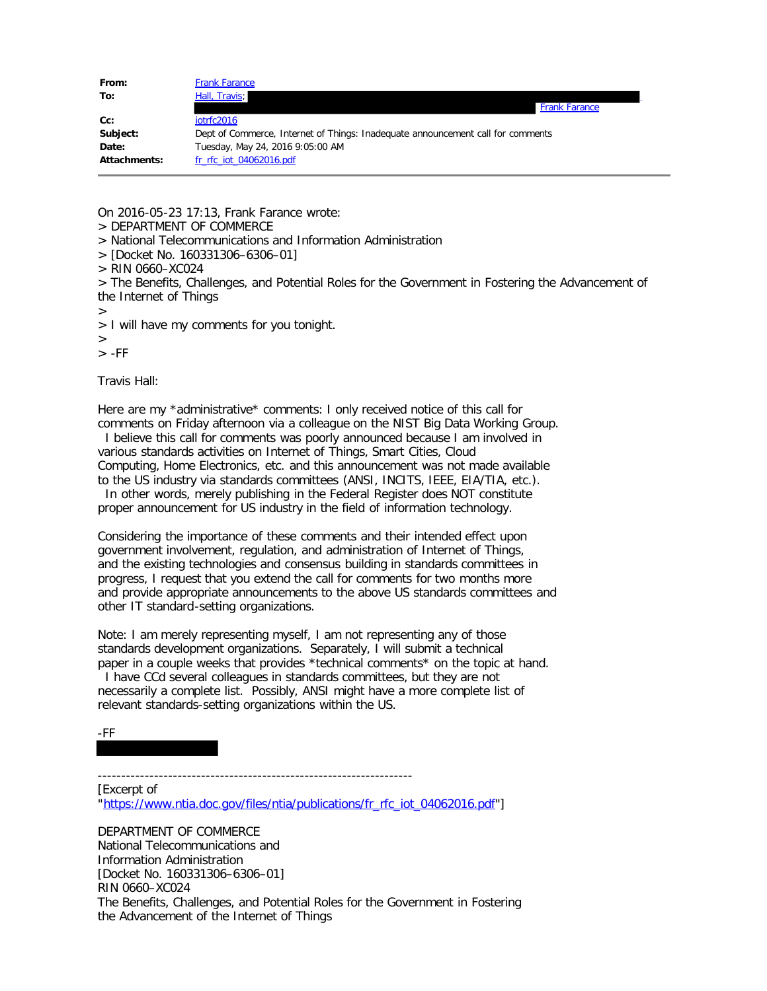| From:        | <b>Frank Farance</b>                                                            |
|--------------|---------------------------------------------------------------------------------|
| To:          | Hall, Travis;                                                                   |
|              | <b>Frank Farance</b>                                                            |
| Cc:          | iotrfc2016                                                                      |
| Subject:     | Dept of Commerce, Internet of Things: Inadequate announcement call for comments |
| Date:        | Tuesday, May 24, 2016 9:05:00 AM                                                |
| Attachments: | fr rfc iot 04062016.pdf                                                         |

On 2016-05-23 17:13, Frank Farance wrote:

- > DEPARTMENT OF COMMERCE
- > National Telecommunications and Information Administration
- > [Docket No. 160331306–6306–01]
- > RIN 0660–XC024
- > The Benefits, Challenges, and Potential Roles for the Government in Fostering the Advancement of the Internet of Things
- >
- > I will have my comments for you tonight.
- >

 $>$  -FF

Travis Hall:

Here are my \*administrative\* comments: I only received notice of this call for comments on Friday afternoon via a colleague on the NIST Big Data Working Group. I believe this call for comments was poorly announced because I am involved in various standards activities on Internet of Things, Smart Cities, Cloud

Computing, Home Electronics, etc. and this announcement was not made available to the US industry via standards committees (ANSI, INCITS, IEEE, EIA/TIA, etc.). In other words, merely publishing in the Federal Register does NOT constitute

proper announcement for US industry in the field of information technology.

Considering the importance of these comments and their intended effect upon government involvement, regulation, and administration of Internet of Things, and the existing technologies and consensus building in standards committees in progress, I request that you extend the call for comments for two months more and provide appropriate announcements to the above US standards committees and other IT standard-setting organizations.

Note: I am merely representing myself, I am not representing any of those standards development organizations. Separately, I will submit a technical paper in a couple weeks that provides \*technical comments\* on the topic at hand.

 I have CCd several colleagues in standards committees, but they are not necessarily a complete list. Possibly, ANSI might have a more complete list of relevant standards-setting organizations within the US.

-FF

-------------------------------------------------------------------

[Excerpt of "[https://www.ntia.doc.gov/files/ntia/publications/fr\\_rfc\\_iot\\_04062016.pdf"](https://www.ntia.doc.gov/files/ntia/publications/fr_rfc_iot_04062016.pdf)]

DEPARTMENT OF COMMERCE National Telecommunications and Information Administration [Docket No. 160331306–6306–01] RIN 0660–XC024 The Benefits, Challenges, and Potential Roles for the Government in Fostering the Advancement of the Internet of Things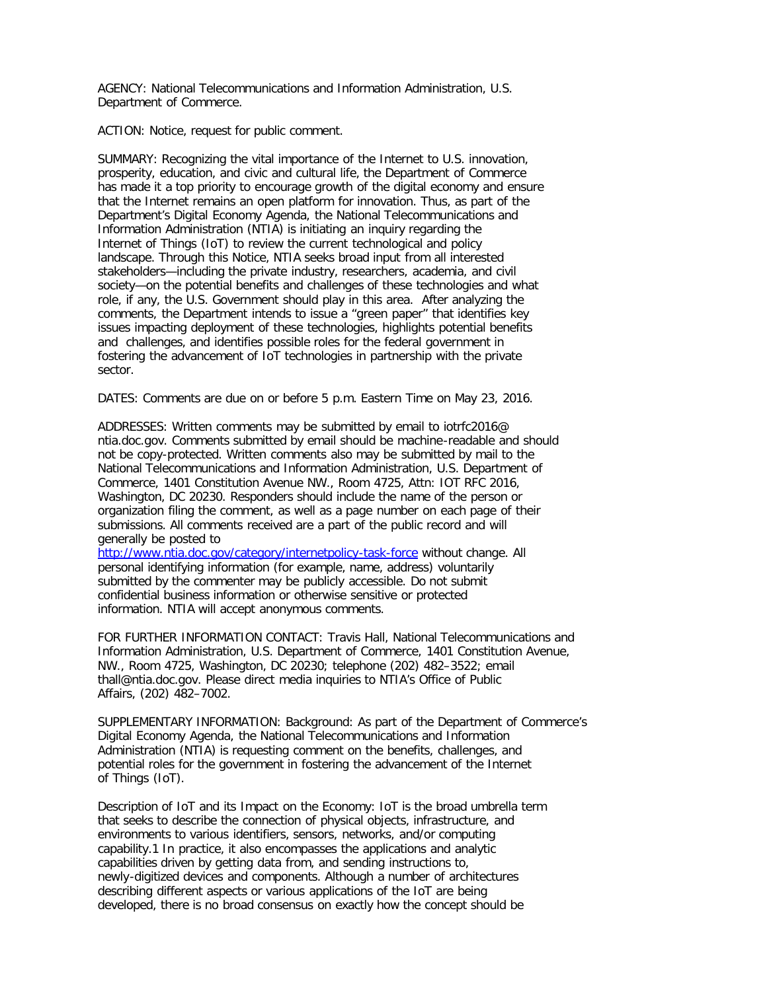AGENCY: National Telecommunications and Information Administration, U.S. Department of Commerce.

ACTION: Notice, request for public comment.

SUMMARY: Recognizing the vital importance of the Internet to U.S. innovation, prosperity, education, and civic and cultural life, the Department of Commerce has made it a top priority to encourage growth of the digital economy and ensure that the Internet remains an open platform for innovation. Thus, as part of the Department's Digital Economy Agenda, the National Telecommunications and Information Administration (NTIA) is initiating an inquiry regarding the Internet of Things (IoT) to review the current technological and policy landscape. Through this Notice, NTIA seeks broad input from all interested stakeholders—including the private industry, researchers, academia, and civil society—on the potential benefits and challenges of these technologies and what role, if any, the U.S. Government should play in this area. After analyzing the comments, the Department intends to issue a ''green paper'' that identifies key issues impacting deployment of these technologies, highlights potential benefits and challenges, and identifies possible roles for the federal government in fostering the advancement of IoT technologies in partnership with the private sector.

DATES: Comments are due on or before 5 p.m. Eastern Time on May 23, 2016.

ADDRESSES: Written comments may be submitted by email to iotrfc2016@ ntia.doc.gov. Comments submitted by email should be machine-readable and should not be copy-protected. Written comments also may be submitted by mail to the National Telecommunications and Information Administration, U.S. Department of Commerce, 1401 Constitution Avenue NW., Room 4725, Attn: IOT RFC 2016, Washington, DC 20230. Responders should include the name of the person or organization filing the comment, as well as a page number on each page of their submissions. All comments received are a part of the public record and will generally be posted to

<http://www.ntia.doc.gov/category/internetpolicy-task-force>without change. All personal identifying information (for example, name, address) voluntarily submitted by the commenter may be publicly accessible. Do not submit confidential business information or otherwise sensitive or protected information. NTIA will accept anonymous comments.

FOR FURTHER INFORMATION CONTACT: Travis Hall, National Telecommunications and Information Administration, U.S. Department of Commerce, 1401 Constitution Avenue, NW., Room 4725, Washington, DC 20230; telephone (202) 482–3522; email thall@ntia.doc.gov. Please direct media inquiries to NTIA's Office of Public Affairs, (202) 482–7002.

SUPPLEMENTARY INFORMATION: Background: As part of the Department of Commerce's Digital Economy Agenda, the National Telecommunications and Information Administration (NTIA) is requesting comment on the benefits, challenges, and potential roles for the government in fostering the advancement of the Internet of Things (IoT).

Description of IoT and its Impact on the Economy: IoT is the broad umbrella term that seeks to describe the connection of physical objects, infrastructure, and environments to various identifiers, sensors, networks, and/or computing capability.1 In practice, it also encompasses the applications and analytic capabilities driven by getting data from, and sending instructions to, newly-digitized devices and components. Although a number of architectures describing different aspects or various applications of the IoT are being developed, there is no broad consensus on exactly how the concept should be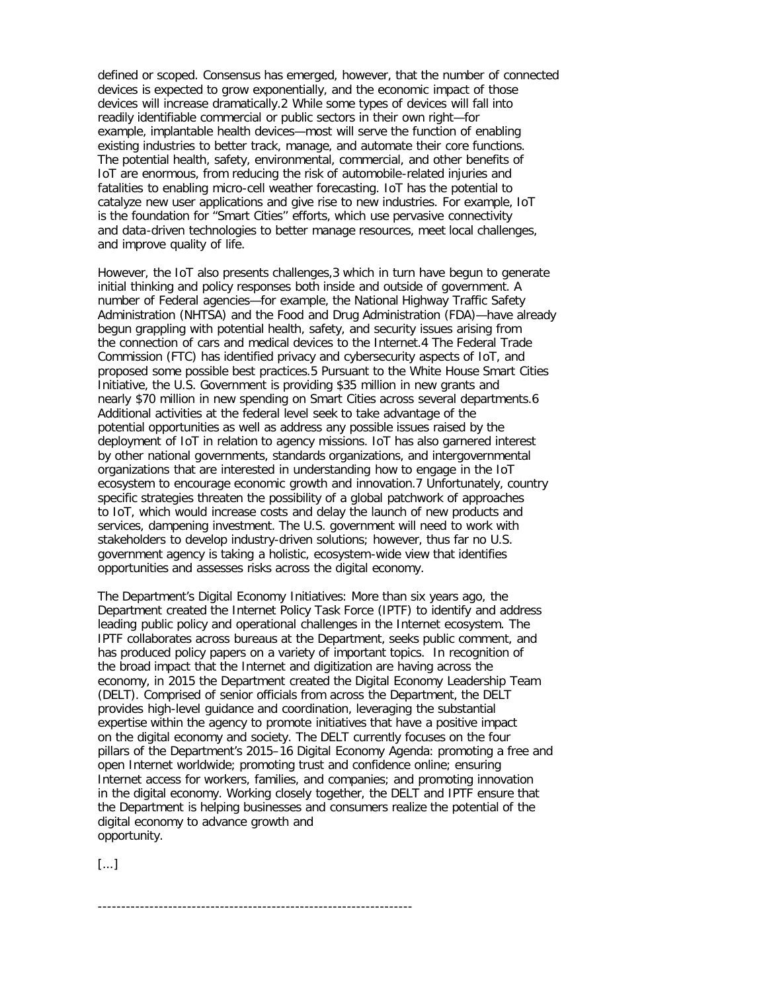defined or scoped. Consensus has emerged, however, that the number of connected devices is expected to grow exponentially, and the economic impact of those devices will increase dramatically.2 While some types of devices will fall into readily identifiable commercial or public sectors in their own right—for example, implantable health devices—most will serve the function of enabling existing industries to better track, manage, and automate their core functions. The potential health, safety, environmental, commercial, and other benefits of IoT are enormous, from reducing the risk of automobile-related injuries and fatalities to enabling micro-cell weather forecasting. IoT has the potential to catalyze new user applications and give rise to new industries. For example, IoT is the foundation for ''Smart Cities'' efforts, which use pervasive connectivity and data-driven technologies to better manage resources, meet local challenges, and improve quality of life.

However, the IoT also presents challenges,3 which in turn have begun to generate initial thinking and policy responses both inside and outside of government. A number of Federal agencies—for example, the National Highway Traffic Safety Administration (NHTSA) and the Food and Drug Administration (FDA)—have already begun grappling with potential health, safety, and security issues arising from the connection of cars and medical devices to the Internet.4 The Federal Trade Commission (FTC) has identified privacy and cybersecurity aspects of IoT, and proposed some possible best practices.5 Pursuant to the White House Smart Cities Initiative, the U.S. Government is providing \$35 million in new grants and nearly \$70 million in new spending on Smart Cities across several departments.6 Additional activities at the federal level seek to take advantage of the potential opportunities as well as address any possible issues raised by the deployment of IoT in relation to agency missions. IoT has also garnered interest by other national governments, standards organizations, and intergovernmental organizations that are interested in understanding how to engage in the IoT ecosystem to encourage economic growth and innovation.7 Unfortunately, country specific strategies threaten the possibility of a global patchwork of approaches to IoT, which would increase costs and delay the launch of new products and services, dampening investment. The U.S. government will need to work with stakeholders to develop industry-driven solutions; however, thus far no U.S. government agency is taking a holistic, ecosystem-wide view that identifies opportunities and assesses risks across the digital economy.

The Department's Digital Economy Initiatives: More than six years ago, the Department created the Internet Policy Task Force (IPTF) to identify and address leading public policy and operational challenges in the Internet ecosystem. The IPTF collaborates across bureaus at the Department, seeks public comment, and has produced policy papers on a variety of important topics. In recognition of the broad impact that the Internet and digitization are having across the economy, in 2015 the Department created the Digital Economy Leadership Team (DELT). Comprised of senior officials from across the Department, the DELT provides high-level guidance and coordination, leveraging the substantial expertise within the agency to promote initiatives that have a positive impact on the digital economy and society. The DELT currently focuses on the four pillars of the Department's 2015–16 Digital Economy Agenda: promoting a free and open Internet worldwide; promoting trust and confidence online; ensuring Internet access for workers, families, and companies; and promoting innovation in the digital economy. Working closely together, the DELT and IPTF ensure that the Department is helping businesses and consumers realize the potential of the digital economy to advance growth and opportunity.

[...]

-------------------------------------------------------------------